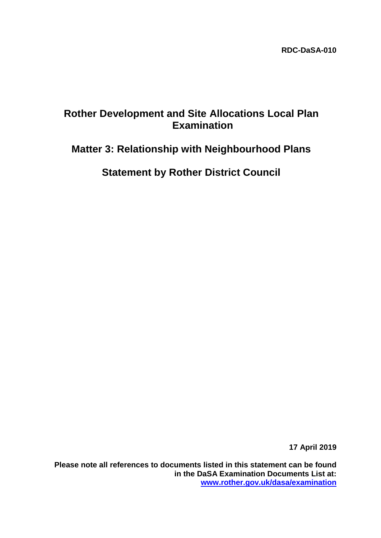# **Rother Development and Site Allocations Local Plan Examination**

# **Matter 3: Relationship with Neighbourhood Plans**

**Statement by Rother District Council**

**17 April 2019**

**Please note all references to documents listed in this statement can be found in the DaSA Examination Documents List at: [www.rother.gov.uk/dasa/examination](http://www.rother.gov.uk/dasa/examination)**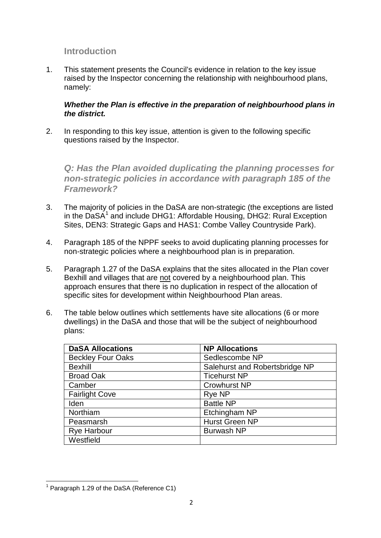# **Introduction**

1. This statement presents the Council's evidence in relation to the key issue raised by the Inspector concerning the relationship with neighbourhood plans, namely:

#### *Whether the Plan is effective in the preparation of neighbourhood plans in the district.*

2. In responding to this key issue, attention is given to the following specific questions raised by the Inspector.

*Q: Has the Plan avoided duplicating the planning processes for non-strategic policies in accordance with paragraph 185 of the Framework?* 

- 3. The majority of policies in the DaSA are non-strategic (the exceptions are listed in the DaSA<sup>[1](#page-1-0)</sup> and include DHG1: Affordable Housing, DHG2: Rural Exception Sites, DEN3: Strategic Gaps and HAS1: Combe Valley Countryside Park).
- 4. Paragraph 185 of the NPPF seeks to avoid duplicating planning processes for non-strategic policies where a neighbourhood plan is in preparation.
- 5. Paragraph 1.27 of the DaSA explains that the sites allocated in the Plan cover Bexhill and villages that are not covered by a neighbourhood plan. This approach ensures that there is no duplication in respect of the allocation of specific sites for development within Neighbourhood Plan areas.
- 6. The table below outlines which settlements have site allocations (6 or more dwellings) in the DaSA and those that will be the subject of neighbourhood plans:

| <b>DaSA Allocations</b>  | <b>NP Allocations</b>          |
|--------------------------|--------------------------------|
| <b>Beckley Four Oaks</b> | Sedlescombe NP                 |
| <b>Bexhill</b>           | Salehurst and Robertsbridge NP |
| <b>Broad Oak</b>         | <b>Ticehurst NP</b>            |
| Camber                   | <b>Crowhurst NP</b>            |
| <b>Fairlight Cove</b>    | Rye NP                         |
| Iden                     | <b>Battle NP</b>               |
| Northiam                 | Etchingham NP                  |
| Peasmarsh                | Hurst Green NP                 |
| <b>Rye Harbour</b>       | <b>Burwash NP</b>              |
| Westfield                |                                |

<span id="page-1-0"></span> $1$  Paragraph 1.29 of the DaSA (Reference C1)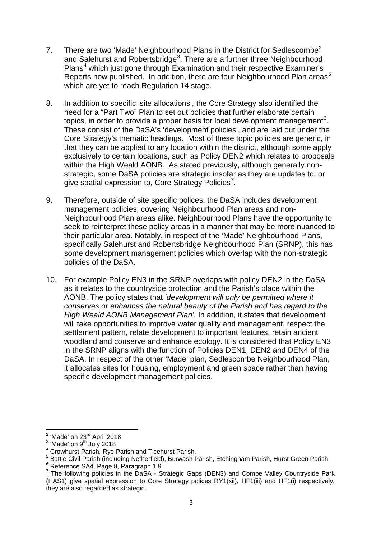- 7. There are two 'Made' Neighbourhood Plans in the District for Sedlescombe<sup>[2](#page-2-0)</sup> and Salehurst and Robertsbridge<sup>[3](#page-2-1)</sup>. There are a further three Neighbourhood Plans<sup>[4](#page-2-2)</sup> which just gone through Examination and their respective Examiner's Reports now published. In addition, there are four Neighbourhood Plan areas<sup>[5](#page-2-3)</sup> which are yet to reach Regulation 14 stage.
- 8. In addition to specific 'site allocations', the Core Strategy also identified the need for a "Part Two" Plan to set out policies that further elaborate certain topics, in order to provide a proper basis for local development management<sup>[6](#page-2-4)</sup>. These consist of the DaSA's 'development policies', and are laid out under the Core Strategy's thematic headings. Most of these topic policies are generic, in that they can be applied to any location within the district, although some apply exclusively to certain locations, such as Policy DEN2 which relates to proposals within the High Weald AONB. As stated previously, although generally nonstrategic, some DaSA policies are strategic insofar as they are updates to, or give spatial expression to, Core Strategy Policies<sup>[7](#page-2-5)</sup>.
- 9. Therefore, outside of site specific polices, the DaSA includes development management policies, covering Neighbourhood Plan areas and non-Neighbourhood Plan areas alike. Neighbourhood Plans have the opportunity to seek to reinterpret these policy areas in a manner that may be more nuanced to their particular area. Notably, in respect of the 'Made' Neighbourhood Plans, specifically Salehurst and Robertsbridge Neighbourhood Plan (SRNP), this has some development management policies which overlap with the non-strategic policies of the DaSA.
- 10. For example Policy EN3 in the SRNP overlaps with policy DEN2 in the DaSA as it relates to the countryside protection and the Parish's place within the AONB. The policy states that *'development will only be permitted where it conserves or enhances the natural beauty of the Parish and has regard to the High Weald AONB Management Plan'.* In addition, it states that development will take opportunities to improve water quality and management, respect the settlement pattern, relate development to important features, retain ancient woodland and conserve and enhance ecology. It is considered that Policy EN3 in the SRNP aligns with the function of Policies DEN1, DEN2 and DEN4 of the DaSA. In respect of the other 'Made' plan, Sedlescombe Neighbourhood Plan, it allocates sites for housing, employment and green space rather than having specific development management policies.

<span id="page-2-1"></span>

<span id="page-2-0"></span><sup>&</sup>lt;sup>2</sup> 'Made' on 23<sup>rd</sup> April 2018<br><sup>3</sup> 'Made' on 9<sup>th</sup> July 2018<br><sup>4</sup> Crowhurst Parish, Rye Parish and Ticehurst Parish.

<span id="page-2-3"></span><span id="page-2-2"></span><sup>&</sup>lt;sup>5</sup> Battle Civil Parish (including Netherfield), Burwash Parish, Etchingham Parish, Hurst Green Parish<br>  $^{6}$  Reference SA4, Page 8, Paragraph 1.9<br>
<sup>7</sup> The following policies in the DaSA - Strategic Gaps (DEN3) and Combe

<span id="page-2-5"></span><span id="page-2-4"></span><sup>(</sup>HAS1) give spatial expression to Core Strategy polices RY1(xii), HF1(iii) and HF1(i) respectively, they are also regarded as strategic.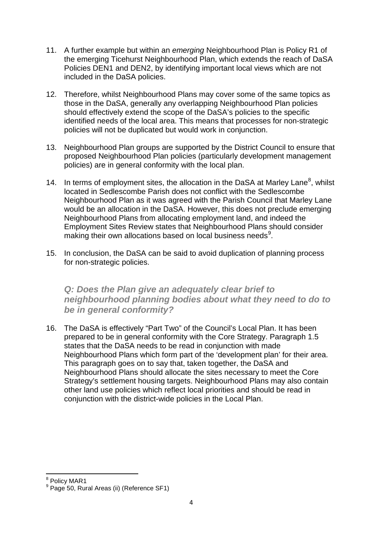- 11. A further example but within an *emerging* Neighbourhood Plan is Policy R1 of the emerging Ticehurst Neighbourhood Plan, which extends the reach of DaSA Policies DEN1 and DEN2, by identifying important local views which are not included in the DaSA policies.
- 12. Therefore, whilst Neighbourhood Plans may cover some of the same topics as those in the DaSA, generally any overlapping Neighbourhood Plan policies should effectively extend the scope of the DaSA's policies to the specific identified needs of the local area. This means that processes for non-strategic policies will not be duplicated but would work in conjunction.
- 13. Neighbourhood Plan groups are supported by the District Council to ensure that proposed Neighbourhood Plan policies (particularly development management policies) are in general conformity with the local plan.
- 14. In terms of employment sites, the allocation in the DaSA at Marley Lane $^8$  $^8$ , whilst located in Sedlescombe Parish does not conflict with the Sedlescombe Neighbourhood Plan as it was agreed with the Parish Council that Marley Lane would be an allocation in the DaSA. However, this does not preclude emerging Neighbourhood Plans from allocating employment land, and indeed the Employment Sites Review states that Neighbourhood Plans should consider making their own allocations based on local business needs $9$ .
- 15. In conclusion, the DaSA can be said to avoid duplication of planning process for non-strategic policies.

*Q: Does the Plan give an adequately clear brief to neighbourhood planning bodies about what they need to do to be in general conformity?* 

16. The DaSA is effectively "Part Two" of the Council's Local Plan. It has been prepared to be in general conformity with the Core Strategy. Paragraph 1.5 states that the DaSA needs to be read in conjunction with made Neighbourhood Plans which form part of the 'development plan' for their area. This paragraph goes on to say that, taken together, the DaSA and Neighbourhood Plans should allocate the sites necessary to meet the Core Strategy's settlement housing targets. Neighbourhood Plans may also contain other land use policies which reflect local priorities and should be read in conjunction with the district-wide policies in the Local Plan.

<span id="page-3-0"></span><sup>8</sup> Policy MAR1

<span id="page-3-1"></span><sup>&</sup>lt;sup>9</sup> Page 50, Rural Areas (ii) (Reference SF1)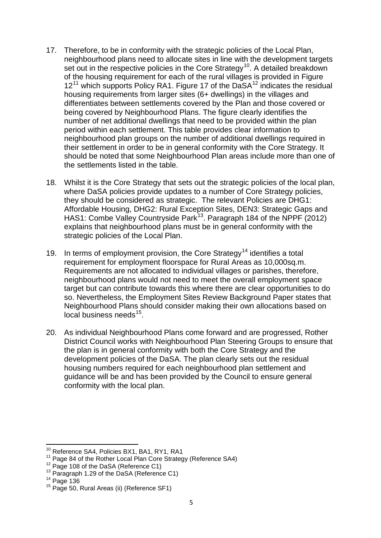- 17. Therefore, to be in conformity with the strategic policies of the Local Plan, neighbourhood plans need to allocate sites in line with the development targets set out in the respective policies in the Core Strategy<sup>[10](#page-4-0)</sup>. A detailed breakdown of the housing requirement for each of the rural villages is provided in Figure  $12^{11}$  $12^{11}$  $12^{11}$  which supports Policy RA1. Figure 17 of the DaSA<sup>[12](#page-4-2)</sup> indicates the residual housing requirements from larger sites (6+ dwellings) in the villages and differentiates between settlements covered by the Plan and those covered or being covered by Neighbourhood Plans. The figure clearly identifies the number of net additional dwellings that need to be provided within the plan period within each settlement. This table provides clear information to neighbourhood plan groups on the number of additional dwellings required in their settlement in order to be in general conformity with the Core Strategy. It should be noted that some Neighbourhood Plan areas include more than one of the settlements listed in the table.
- 18. Whilst it is the Core Strategy that sets out the strategic policies of the local plan, where DaSA policies provide updates to a number of Core Strategy policies, they should be considered as strategic. The relevant Policies are DHG1: Affordable Housing, DHG2: Rural Exception Sites, DEN3: Strategic Gaps and HAS1: Combe Valley Countryside Park<sup>13</sup>. Paragraph 184 of the NPPF (2012) explains that neighbourhood plans must be in general conformity with the strategic policies of the Local Plan.
- 19. In terms of employment provision, the Core Strategy<sup>[14](#page-4-4)</sup> identifies a total requirement for employment floorspace for Rural Areas as 10,000sq.m. Requirements are not allocated to individual villages or parishes, therefore, neighbourhood plans would not need to meet the overall employment space target but can contribute towards this where there are clear opportunities to do so. Nevertheless, the Employment Sites Review Background Paper states that Neighbourhood Plans should consider making their own allocations based on  $local business needs<sup>15</sup>.$  $local business needs<sup>15</sup>.$  $local business needs<sup>15</sup>.$
- 20. As individual Neighbourhood Plans come forward and are progressed, Rother District Council works with Neighbourhood Plan Steering Groups to ensure that the plan is in general conformity with both the Core Strategy and the development policies of the DaSA. The plan clearly sets out the residual housing numbers required for each neighbourhood plan settlement and guidance will be and has been provided by the Council to ensure general conformity with the local plan.

<sup>&</sup>lt;sup>10</sup> Reference SA4, Policies BX1, BA1, RY1, RA1

<span id="page-4-2"></span><span id="page-4-1"></span><span id="page-4-0"></span><sup>&</sup>lt;sup>11</sup> Page 84 of the Rother Local Plan Core Strategy (Reference SA4)<br><sup>12</sup> Page 108 of the DaSA (Reference C1)<br><sup>13</sup> Paragraph 1.29 of the DaSA (Reference C1)<br><sup>14</sup> Page 136<br><sup>15</sup> Page 50, Rural Areas (ii) (Reference SF1)

<span id="page-4-3"></span>

<span id="page-4-5"></span><span id="page-4-4"></span>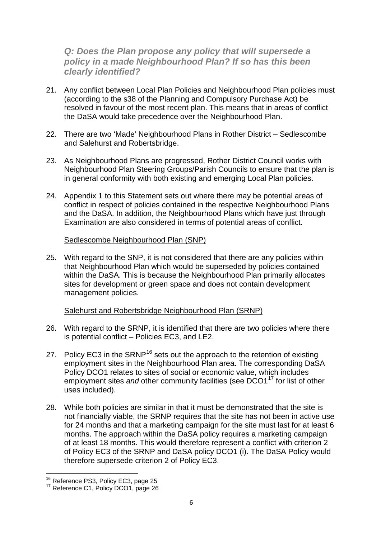# *Q: Does the Plan propose any policy that will supersede a policy in a made Neighbourhood Plan? If so has this been clearly identified?*

- 21. Any conflict between Local Plan Policies and Neighbourhood Plan policies must (according to the s38 of the Planning and Compulsory Purchase Act) be resolved in favour of the most recent plan. This means that in areas of conflict the DaSA would take precedence over the Neighbourhood Plan.
- 22. There are two 'Made' Neighbourhood Plans in Rother District Sedlescombe and Salehurst and Robertsbridge.
- 23. As Neighbourhood Plans are progressed, Rother District Council works with Neighbourhood Plan Steering Groups/Parish Councils to ensure that the plan is in general conformity with both existing and emerging Local Plan policies.
- 24. Appendix 1 to this Statement sets out where there may be potential areas of conflict in respect of policies contained in the respective Neighbourhood Plans and the DaSA. In addition, the Neighbourhood Plans which have just through Examination are also considered in terms of potential areas of conflict.

### Sedlescombe Neighbourhood Plan (SNP)

25. With regard to the SNP, it is not considered that there are any policies within that Neighbourhood Plan which would be superseded by policies contained within the DaSA. This is because the Neighbourhood Plan primarily allocates sites for development or green space and does not contain development management policies.

## Salehurst and Robertsbridge Neighbourhood Plan (SRNP)

- 26. With regard to the SRNP, it is identified that there are two policies where there is potential conflict – Policies EC3, and LE2.
- 27. Policy EC3 in the SRNP<sup>[16](#page-5-0)</sup> sets out the approach to the retention of existing employment sites in the Neighbourhood Plan area. The corresponding DaSA Policy DCO1 relates to sites of social or economic value, which includes employment sites *and* other community facilities (see DCO1<sup>[17](#page-5-1)</sup> for list of other uses included).
- 28. While both policies are similar in that it must be demonstrated that the site is not financially viable, the SRNP requires that the site has not been in active use for 24 months and that a marketing campaign for the site must last for at least 6 months. The approach within the DaSA policy requires a marketing campaign of at least 18 months. This would therefore represent a conflict with criterion 2 of Policy EC3 of the SRNP and DaSA policy DCO1 (i). The DaSA Policy would therefore supersede criterion 2 of Policy EC3.

<span id="page-5-1"></span><span id="page-5-0"></span><sup>&</sup>lt;sup>16</sup> Reference PS3, Policy EC3, page 25<br><sup>17</sup> Reference C1, Policy DCO1, page 26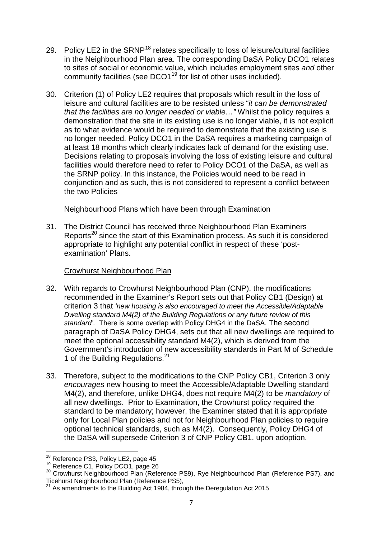- 29. Policy LE2 in the SRNP<sup>[18](#page-6-0)</sup> relates specifically to loss of leisure/cultural facilities in the Neighbourhood Plan area. The corresponding DaSA Policy DCO1 relates to sites of social or economic value, which includes employment sites *and* other community facilities (see  $DCO1<sup>19</sup>$  $DCO1<sup>19</sup>$  $DCO1<sup>19</sup>$  for list of other uses included).
- 30. Criterion (1) of Policy LE2 requires that proposals which result in the loss of leisure and cultural facilities are to be resisted unless "*it can be demonstrated that the facilities are no longer needed or viable…"* Whilst the policy requires a demonstration that the site in its existing use is no longer viable, it is not explicit as to what evidence would be required to demonstrate that the existing use is no longer needed. Policy DCO1 in the DaSA requires a marketing campaign of at least 18 months which clearly indicates lack of demand for the existing use. Decisions relating to proposals involving the loss of existing leisure and cultural facilities would therefore need to refer to Policy DCO1 of the DaSA, as well as the SRNP policy. In this instance, the Policies would need to be read in conjunction and as such, this is not considered to represent a conflict between the two Policies

#### Neighbourhood Plans which have been through Examination

31. The District Council has received three Neighbourhood Plan Examiners Reports<sup>[20](#page-6-2)</sup> since the start of this Examination process. As such it is considered appropriate to highlight any potential conflict in respect of these 'postexamination' Plans.

#### Crowhurst Neighbourhood Plan

- 32. With regards to Crowhurst Neighbourhood Plan (CNP), the modifications recommended in the Examiner's Report sets out that Policy CB1 (Design) at criterion 3 that *'new housing is also encouraged to meet the Accessible/Adaptable Dwelling standard M4(2) of the Building Regulations or any future review of this standard'*. There is some overlap with Policy DHG4 in the DaSA. The second paragraph of DaSA Policy DHG4, sets out that all new dwellings are required to meet the optional accessibility standard M4(2), which is derived from the Government's introduction of new accessibility standards in Part M of Schedule 1 of the Building Regulations.<sup>[21](#page-6-3)</sup>
- 33. Therefore, subject to the modifications to the CNP Policy CB1, Criterion 3 only *encourages* new housing to meet the Accessible/Adaptable Dwelling standard M4(2), and therefore, unlike DHG4, does not require M4(2) to be *mandatory* of all new dwellings. Prior to Examination, the Crowhurst policy required the standard to be mandatory; however, the Examiner stated that it is appropriate only for Local Plan policies and not for Neighbourhood Plan policies to require optional technical standards, such as M4(2). Consequently, Policy DHG4 of the DaSA will supersede Criterion 3 of CNP Policy CB1, upon adoption.

<span id="page-6-2"></span><span id="page-6-1"></span>

<span id="page-6-0"></span><sup>&</sup>lt;sup>18</sup> Reference PS3, Policy LE2, page 45<br><sup>19</sup> Reference C1, Policy DCO1, page 26<br><sup>20</sup> Crowhurst Neighbourhood Plan (Reference PS9), Rye Neighbourhood Plan (Reference PS7), and<br>Ticehurst Neighbourhood Plan (Reference PS5),

<span id="page-6-3"></span><sup>&</sup>lt;sup>21</sup> As amendments to the Building Act 1984, through the Deregulation Act 2015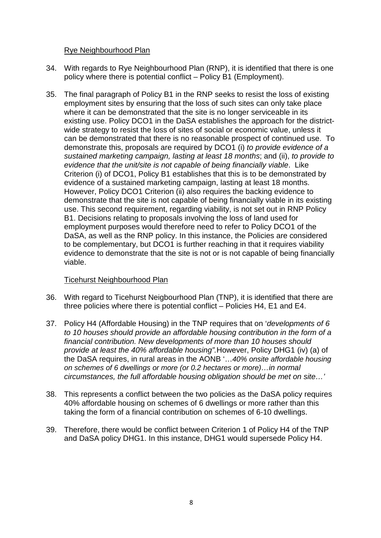### Rye Neighbourhood Plan

- 34. With regards to Rye Neighbourhood Plan (RNP), it is identified that there is one policy where there is potential conflict – Policy B1 (Employment).
- 35. The final paragraph of Policy B1 in the RNP seeks to resist the loss of existing employment sites by ensuring that the loss of such sites can only take place where it can be demonstrated that the site is no longer serviceable in its existing use. Policy DCO1 in the DaSA establishes the approach for the districtwide strategy to resist the loss of sites of social or economic value, unless it can be demonstrated that there is no reasonable prospect of continued use. To demonstrate this, proposals are required by DCO1 (i) *to provide evidence of a sustained marketing campaign, lasting at least 18 months*; and (ii), *to provide to evidence that the unit/site is not capable of being financially viable*. Like Criterion (i) of DCO1, Policy B1 establishes that this is to be demonstrated by evidence of a sustained marketing campaign, lasting at least 18 months. However, Policy DCO1 Criterion (ii) also requires the backing evidence to demonstrate that the site is not capable of being financially viable in its existing use. This second requirement, regarding viability, is not set out in RNP Policy B1. Decisions relating to proposals involving the loss of land used for employment purposes would therefore need to refer to Policy DCO1 of the DaSA, as well as the RNP policy. In this instance, the Policies are considered to be complementary, but DCO1 is further reaching in that it requires viability evidence to demonstrate that the site is not or is not capable of being financially viable.

## Ticehurst Neighbourhood Plan

- 36. With regard to Ticehurst Neigbourhood Plan (TNP), it is identified that there are three policies where there is potential conflict – Policies H4, E1 and E4.
- 37. Policy H4 (Affordable Housing) in the TNP requires that on '*developments of 6 to 10 houses should provide an affordable housing contribution in the form of a financial contribution. New developments of more than 10 houses should provide at least the 40% affordable housing".*However, Policy DHG1 (iv) (a) of the DaSA requires, in rural areas in the AONB '…*40% onsite affordable housing on schemes of 6 dwellings or more (or 0.2 hectares or more)…in normal circumstances, the full affordable housing obligation should be met on site…'*
- 38. This represents a conflict between the two policies as the DaSA policy requires 40% affordable housing on schemes of 6 dwellings or more rather than this taking the form of a financial contribution on schemes of 6-10 dwellings.
- 39. Therefore, there would be conflict between Criterion 1 of Policy H4 of the TNP and DaSA policy DHG1. In this instance, DHG1 would supersede Policy H4.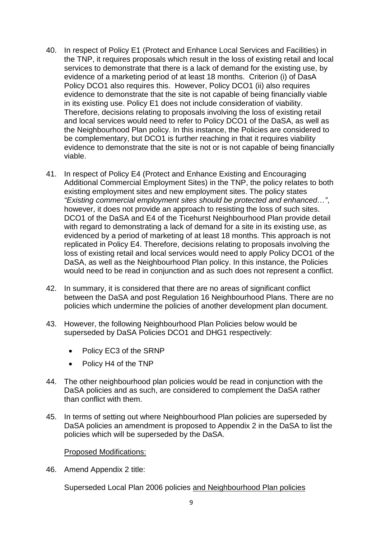- 40. In respect of Policy E1 (Protect and Enhance Local Services and Facilities) in the TNP, it requires proposals which result in the loss of existing retail and local services to demonstrate that there is a lack of demand for the existing use, by evidence of a marketing period of at least 18 months. Criterion (i) of DasA Policy DCO1 also requires this. However, Policy DCO1 (ii) also requires evidence to demonstrate that the site is not capable of being financially viable in its existing use. Policy E1 does not include consideration of viability. Therefore, decisions relating to proposals involving the loss of existing retail and local services would need to refer to Policy DCO1 of the DaSA, as well as the Neighbourhood Plan policy. In this instance, the Policies are considered to be complementary, but DCO1 is further reaching in that it requires viability evidence to demonstrate that the site is not or is not capable of being financially viable.
- 41. In respect of Policy E4 (Protect and Enhance Existing and Encouraging Additional Commercial Employment Sites) in the TNP, the policy relates to both existing employment sites and new employment sites. The policy states *"Existing commercial employment sites should be protected and enhanced…"*, however, it does not provide an approach to resisting the loss of such sites. DCO1 of the DaSA and E4 of the Ticehurst Neighbourhood Plan provide detail with regard to demonstrating a lack of demand for a site in its existing use, as evidenced by a period of marketing of at least 18 months. This approach is not replicated in Policy E4. Therefore, decisions relating to proposals involving the loss of existing retail and local services would need to apply Policy DCO1 of the DaSA, as well as the Neighbourhood Plan policy. In this instance, the Policies would need to be read in conjunction and as such does not represent a conflict.
- 42. In summary, it is considered that there are no areas of significant conflict between the DaSA and post Regulation 16 Neighbourhood Plans. There are no policies which undermine the policies of another development plan document.
- 43. However, the following Neighbourhood Plan Policies below would be superseded by DaSA Policies DCO1 and DHG1 respectively:
	- Policy EC3 of the SRNP
	- Policy H4 of the TNP
- 44. The other neighbourhood plan policies would be read in conjunction with the DaSA policies and as such, are considered to complement the DaSA rather than conflict with them.
- 45. In terms of setting out where Neighbourhood Plan policies are superseded by DaSA policies an amendment is proposed to Appendix 2 in the DaSA to list the policies which will be superseded by the DaSA.

Proposed Modifications:

46. Amend Appendix 2 title:

Superseded Local Plan 2006 policies and Neighbourhood Plan policies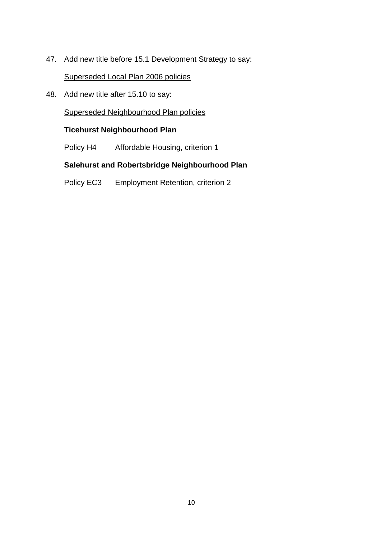47. Add new title before 15.1 Development Strategy to say:

Superseded Local Plan 2006 policies

48. Add new title after 15.10 to say:

Superseded Neighbourhood Plan policies

#### **Ticehurst Neighbourhood Plan**

Policy H4 Affordable Housing, criterion 1

### **Salehurst and Robertsbridge Neighbourhood Plan**

Policy EC3 Employment Retention, criterion 2